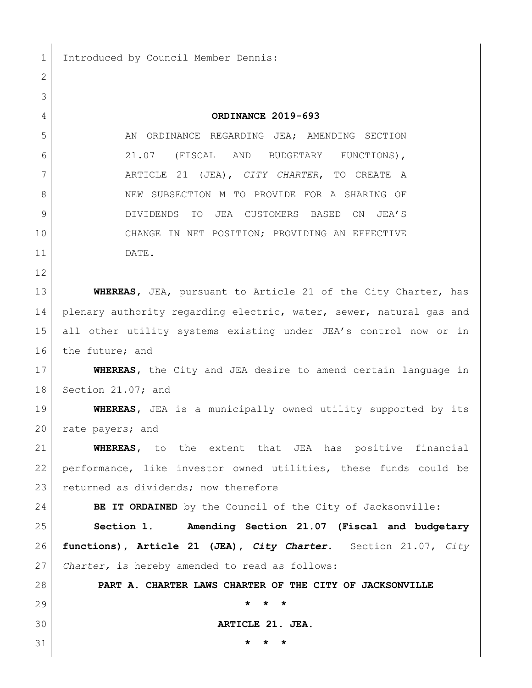1 Introduced by Council Member Dennis:

| 2  |                                                                      |
|----|----------------------------------------------------------------------|
| 3  |                                                                      |
| 4  | ORDINANCE 2019-693                                                   |
| 5  | AN ORDINANCE REGARDING JEA; AMENDING SECTION                         |
| 6  | 21.07<br>(FISCAL AND<br>BUDGETARY FUNCTIONS),                        |
| 7  | ARTICLE 21 (JEA), CITY CHARTER, TO CREATE A                          |
| 8  | NEW SUBSECTION M TO PROVIDE FOR A SHARING OF                         |
| 9  | DIVIDENDS TO JEA CUSTOMERS BASED<br>ON<br>JEA'S                      |
| 10 | CHANGE IN NET POSITION; PROVIDING AN EFFECTIVE                       |
| 11 | DATE.                                                                |
| 12 |                                                                      |
| 13 | WHEREAS, JEA, pursuant to Article 21 of the City Charter, has        |
| 14 | plenary authority regarding electric, water, sewer, natural gas and  |
| 15 | all other utility systems existing under JEA's control now or in     |
| 16 | the future; and                                                      |
| 17 | <b>WHEREAS,</b> the City and JEA desire to amend certain language in |
| 18 | Section 21.07; and                                                   |
| 19 | <b>WHEREAS</b> , JEA is a municipally owned utility supported by its |
| 20 | rate payers; and                                                     |
| 21 | WHEREAS, to the extent that JEA has positive financial               |
| 22 | performance, like investor owned utilities, these funds could be     |
| 23 | returned as dividends; now therefore                                 |
| 24 | BE IT ORDAINED by the Council of the City of Jacksonville:           |
| 25 | Amending Section 21.07 (Fiscal and budgetary<br>Section 1.           |
| 26 | functions), Article 21 (JEA), City Charter. Section 21.07, City      |
| 27 | Charter, is hereby amended to read as follows:                       |
| 28 | PART A. CHARTER LAWS CHARTER OF THE CITY OF JACKSONVILLE             |
| 29 | $\star$<br>$^\star$<br>$\star$                                       |
| 30 | ARTICLE 21. JEA.                                                     |
| 31 | *                                                                    |